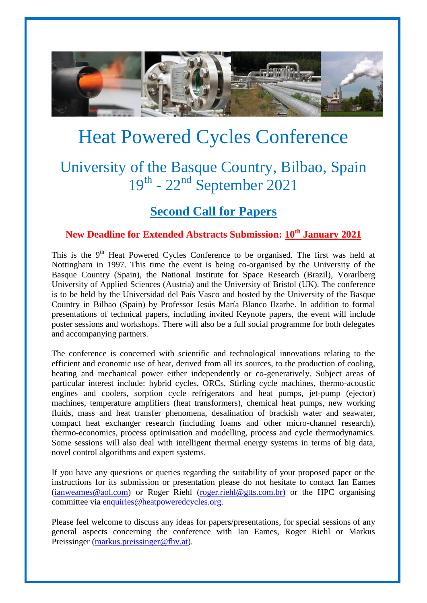

# Heat Powered Cycles Conference

## University of the Basque Country, Bilbao, Spain 19<sup>th</sup> - 22<sup>nd</sup> September 2021

### **Second Call for Papers**

#### **New Deadline for Extended Abstracts Submission: 10th January 2021**

This is the  $9<sup>th</sup>$  Heat Powered Cycles Conference to be organised. The first was held at Nottingham in 1997. This time the event is being co-organised by the University of the Basque Country (Spain), the National Institute for Space Research (Brazil), Vorarlberg University of Applied Sciences (Austria) and the University of Bristol (UK). The conference is to be held by the Universidad del País Vasco and hosted by the University of the Basque Country in Bilbao (Spain) by Professor Jesús María Blanco Ilzarbe. In addition to formal presentations of technical papers, including invited Keynote papers, the event will include poster sessions and workshops. There will also be a full social programme for both delegates and accompanying partners.

The conference is concerned with scientific and technological innovations relating to the efficient and economic use of heat, derived from all its sources, to the production of cooling, heating and mechanical power either independently or co-generatively. Subject areas of particular interest include: hybrid cycles, ORCs, Stirling cycle machines, thermo-acoustic engines and coolers, sorption cycle refrigerators and heat pumps, jet-pump (ejector) machines, temperature amplifiers (heat transformers), chemical heat pumps, new working fluids, mass and heat transfer phenomena, desalination of brackish water and seawater, compact heat exchanger research (including foams and other micro-channel research), thermo-economics, process optimisation and modelling, process and cycle thermodynamics. Some sessions will also deal with intelligent thermal energy systems in terms of big data, novel control algorithms and expert systems.

If you have any questions or queries regarding the suitability of your proposed paper or the instructions for its submission or presentation please do not hesitate to contact Ian Eames [\(ianweames@aol.com\)](mailto:ianweames@aol.com) or Roger Riehl [\(roger.riehl@gtts.com.br\)](mailto:roger.riehl@gtts.com.br) or the HPC organising committee via [enquiries@heatpoweredcycles.org.](mailto:enquiries@heatpoweredcycles.org)

Please feel welcome to discuss any ideas for papers/presentations, for special sessions of any general aspects concerning the conference with Ian Eames, Roger Riehl or Markus Preissinger [\(markus.preissinger@fhv.at\)](mailto:markus.preissinger@fhv.at).